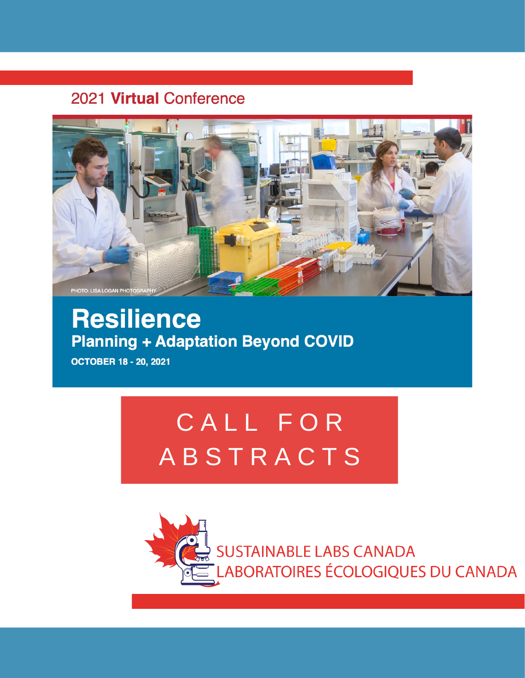## 2021 Virtual Conference



## **Resilience Planning + Adaptation Beyond COVID**

**OCTOBER 18 - 20, 2021** 

# CALL FOR **ABSTRACTS**

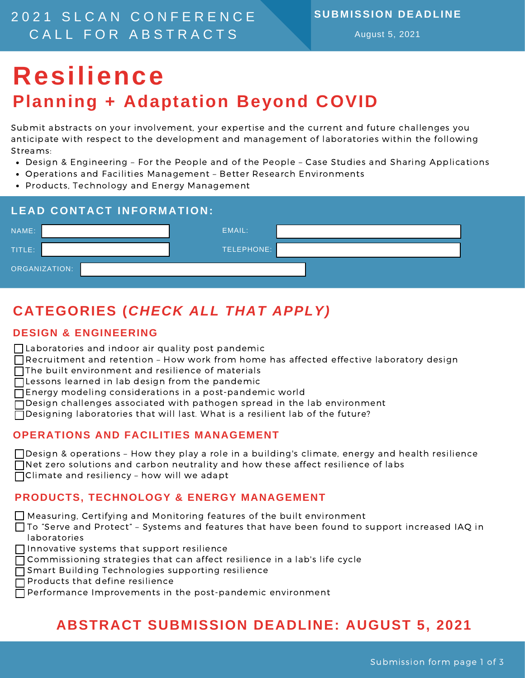### 2 0 2 1 S L C A N C O N F E R E N C E CALL FOR ABSTRACTS

#### **SUBMISSION DEADLINE**

August 5, 2021

## **Resilience Planning + Adaptation Beyond COVID**

Submit abstracts on your involvement, your expertise and the current and future challenges you anticipate with respect to the development and management of laboratories within the following Streams:

- Design & Engineering For the People and of the People Case Studies and Sharing Applications
- Operations and Facilities Management Better Research Environments
- Products, Technology and Energy Management

| EMAIL:<br>NAME:<br>TELEPHONE:<br>TITLE: | <b>LEAD CONTACT INFORMATION:</b> |  |  |  |  |
|-----------------------------------------|----------------------------------|--|--|--|--|
|                                         |                                  |  |  |  |  |
|                                         |                                  |  |  |  |  |
| ORGANIZATION:                           |                                  |  |  |  |  |

## **CATEGORIES (***CHECK ALL THAT APPLY)*

### **DESIGN & ENGINEERING**

- Laboratories and indoor air quality post pandemic
- $\bigcap$  Recruitment and retention How work from home has affected effective laboratory design
- □The built environment and resilience of materials
- Lessons learned in lab design from the pandemic
- Energy modeling considerations in a post-pandemic world
- Design challenges associated with pathogen spread in the lab environment
- $\Box$  Designing laboratories that will last. What is a resilient lab of the future?

#### **OPERATIONS AND FACILITIES MANAGEMENT**

| □ Design & operations - How they play a role in a building's climate, energy and health resilience |
|----------------------------------------------------------------------------------------------------|
| $\Box$ Net zero solutions and carbon neutrality and how these affect resilience of labs            |
| $\Box$ Climate and resiliency - how will we adapt                                                  |

### **PRODUCTS, TECHNOLOGY & ENERGY MANAGEMENT**

Measuring, Certifying and Monitoring features of the built environment

To "Serve and Protect" – Systems and features that have been found to support increased IAQ in laboratories

- $\Box$  Innovative systems that support resilience
- □ Commissioning strategies that can affect resilience in a lab's life cycle
- Smart Building Technologies supporting resilience
- $\Box$  Products that define resilience
- $\Box$  Performance Improvements in the post-pandemic environment

## **ABSTRACT SUBMISSION DEADLINE: AUGUST 5, 2021**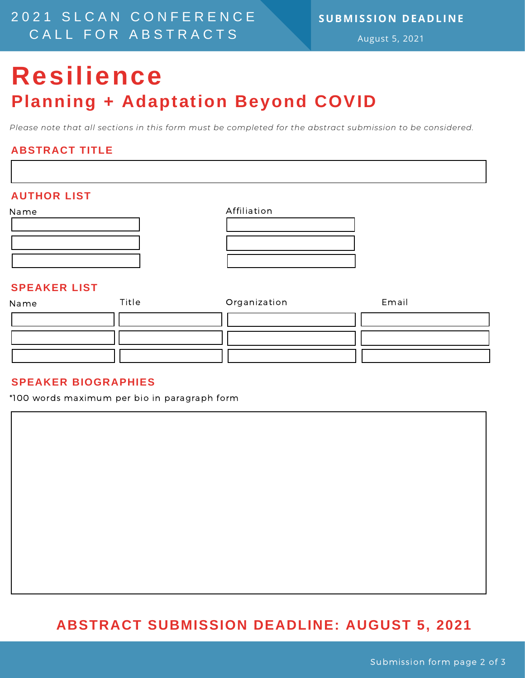### 2 0 2 1 S L C A N C O N F E R E N C E CALL FOR ABSTRACTS

### **SUBMISSION DEADLINE**

August 5, 2021

## **Resilience Planning + Adaptation Beyond COVID**

*Please note that all sections in this form must be completed for the abstract submission to be considered.*

### **ABSTRACT TITLE**

## Name **AUTHOR LIST** Affiliation Name **SPEAKER LIST** Title Organization Email

#### **SPEAKER BIOGRAPHIES**

\*100 words maximum per bio in paragraph form

### **ABSTRACT SUBMISSION DEADLINE: AUGUST 5, 2021**